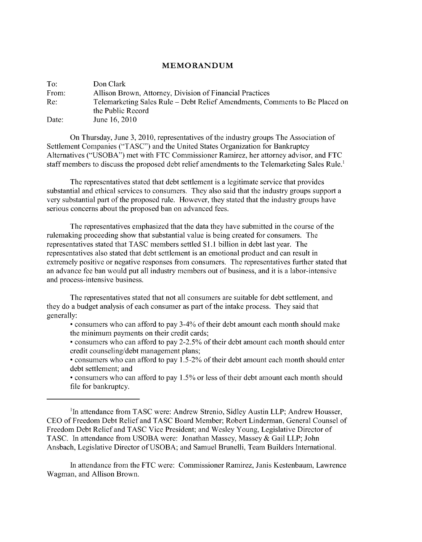## **M EM O R A N D U M**

| To:   | Don Clark                                                                   |
|-------|-----------------------------------------------------------------------------|
| From: | Allison Brown, Attorney, Division of Financial Practices                    |
| Re:   | Telemarketing Sales Rule – Debt Relief Amendments, Comments to Be Placed on |
|       | the Public Record                                                           |
| Date: | June 16, 2010                                                               |

On Thursday, June 3, 2010, representatives of the industry groups The Association of Settlement Companies ("TASC") and the United States Organization for Bankruptcy Alternatives ("USOBA") met with **FTC** Commissioner Ramirez, her attorney advisor, and **FTC** staff members to discuss the proposed debt relief amendments to the Telemarketing Sales Rule.'

The representatives stated that debt settlement is a legitimate service that provides substantial and ethical services to consumers. They also said that the industry groups support a very substantial part of the proposed rule. However, they stated that the industry groups have serious concerns about the proposed ban on advanced fees.

The representatives emphasized that the data they have submitted in the course of the rulemaking proceeding show that substantial value is being created for consumers. The representatives stated that TASC members settled \$1.1 billion in debt last year. The representatives also stated that debt settlement is an emotional product and can result in extremely positive or negative responses from consumers. The representatives further stated that an advance fee ban would put all industry members out of business, and it is a labor-intensive and process-intensive business.

The representatives stated that not all consumers are suitable for debt settlement, and they do a budget analysis of each consumer as part of the intake process. They said that generally:

- consumers who can afford to pay 3-4% of their debt amount each month should make the minimum payments on their credit cards;
- consumers who can afford to pay 2-2.5% of their debt amount each month should enter credit counseling/debt management plans;
- consumers who can afford to pay 1.5-2% of their debt amount each month should enter debt settlement; and
- consumers who can afford to pay 1.5% or less of their debt amount each month should file for bankruptcy.

'In attendance from TASC were: Andrew Strenio, Sidley Austin **LLP;** Andrew Housser, CEO of Freedom Debt Relief and TASC Board Member; Robert Linderman, General Counsel of Freedom Debt Relief and TASC Vice President; and Wesley Young, Legislative Director of TASC. In attendance from USOBA were: Jonathan Massey, Massey k Gail **LLP;** John Ansbach, Legislative Director of USOBA; and Samuel Brunelli, Team Builders International.

In attendance from the **FTC** were: Commissioner Ramirez, Janis Kestenbaum, Lawrence Wagman, and Allison Brown.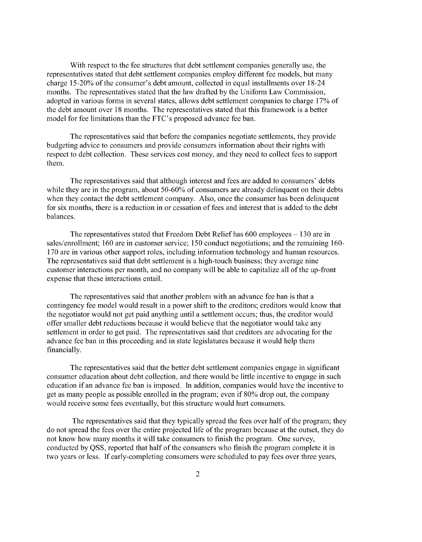With respect to the fee structures that debt settlement companies generally use, the representatives stated that debt settlement companies employ different fee models, but many charge 15-20% of the consumer's debt amount, collected in equal installments over 18-24 months. The representatives stated that the law drafted by the Uniform Law Commission, adopted in various forms in several states, allows debt settlement companies to charge 17% of the debt amount over 18 months. The representatives stated that this framework is a better model for fee limitations than the FTC's proposed advance fee ban.

The representatives said that before the companies negotiate settlements, they provide budgeting advice to consumers and provide consumers information about their rights with respect to debt collection. These services cost money, and they need to collect fees to support them.

The representatives said that although interest and fees are added to consumers' debts while they are in the program, about 50-60% of consumers are already delinquent on their debts when they contact the debt settlement company. Also, once the consumer has been delinquent for six months, there is a reduction in or cessation of fees and interest that is added to the debt balances.

The representatives stated that Freedom Debt Relief has 600 employees — 130 are in sales/enrollment; 160 are in customer service; 150 conduct negotiations; and the remaining 160-170 are in various other support roles, including information technology and human resources. The representatives said that debt settlement is a high-touch business; they average nine customer interactions per month, and no company will be able to capitalize all of the up-front expense that these interactions entail.

The representatives said that another problem with an advance fee ban is that a contingency fee model would result in a power shift to the creditors; creditors would know that the negotiator would not get paid anything until a settlement occurs; thus, the creditor would offer smaller debt reductions because it would believe that the negotiator would take any settlement in order to get paid. The representatives said that creditors are advocating for the advance fee ban in this proceeding and in state legislatures because it would help them financially.

The representatives said that the better debt settlement companies engage in significant consumer education about debt collection, and there would be little incentive to engage in such education if an advance fee ban is imposed. In addition, companies would have the incentive to get as many people as possible enrolled in the program; even if 80% drop out, the company would receive some fees eventually, but this structure would hurt consumers.

The representatives said that they typically spread the fees over half of the program; they do not spread the fees over the entire projected life of the program because at the outset, they do not know how many months it will take consumers to finish the program. One survey, conducted by QSS, reported that half of the consumers who finish the program complete it in two years or less. If early-completing consumers were scheduled to pay fees over three years,